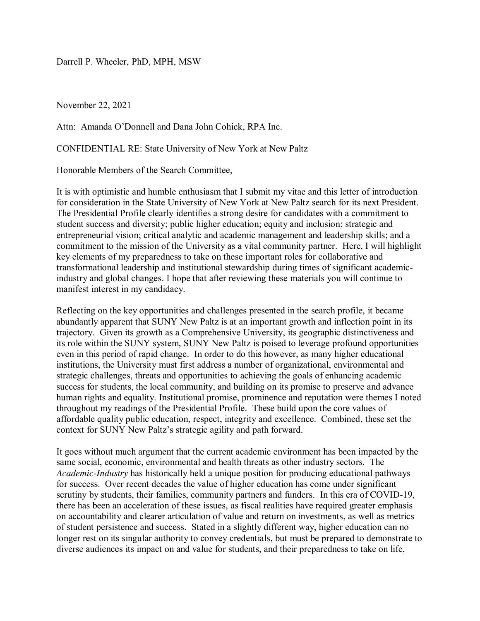Darrell P. Wheeler, PhD, MPH, MSW

November 22, 2021

Attn: Amanda O'Donnell and Dana John Cohick, RPA Inc.

CONFIDENTIAL RE: State University of New York at New Paltz

Honorable Members of the Search Committee,

It is with optimistic and humble enthusiasm that I submit my vitae and this letter of introduction for consideration in the State University of New York at New Paltz search for its next President. The Presidential Profile clearly identifies a strong desire for candidates with a commitment to student success and diversity; public higher education; equity and inclusion; strategic and entrepreneurial vision; critical analytic and academic management and leadership skills; and a commitment to the mission of the University as a vital community partner. Here, I will highlight key elements of my preparedness to take on these important roles for collaborative and transformational leadership and institutional stewardship during times of significant academicindustry and global changes. I hope that after reviewing these materials you will continue to manifest interest in my candidacy.

Reflecting on the key opportunities and challenges presented in the search profile, it became abundantly apparent that SUNY New Paltz is at an important growth and inflection point in its trajectory. Given its growth as a Comprehensive University, its geographic distinctiveness and its role within the SUNY system, SUNY New Paltz is poised to leverage profound opportunities even in this period of rapid change. In order to do this however, as many higher educational institutions, the University must first address a number of organizational, environmental and strategic challenges, threats and opportunities to achieving the goals of enhancing academic success for students, the local community, and building on its promise to preserve and advance human rights and equality. Institutional promise, prominence and reputation were themes I noted throughout my readings of the Presidential Profile. These build upon the core values of affordable quality public education, respect, integrity and excellence. Combined, these set the context for SUNY New Paltz's strategic agility and path forward.

It goes without much argument that the current academic environment has been impacted by the same social, economic, environmental and health threats as other industry sectors. The *Academic-Industry* has historically held a unique position for producing educational pathways for success. Over recent decades the value of higher education has come under significant scrutiny by students, their families, community partners and funders. In this era of COVID-19, there has been an acceleration of these issues, as fiscal realities have required greater emphasis on accountability and clearer articulation of value and return on investments, as well as metrics of student persistence and success. Stated in a slightly different way, higher education can no longer rest on its singular authority to convey credentials, but must be prepared to demonstrate to diverse audiences its impact on and value for students, and their preparedness to take on life,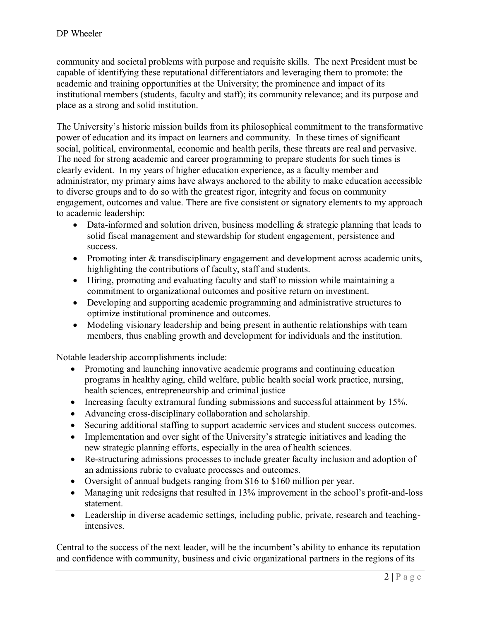community and societal problems with purpose and requisite skills. The next President must be capable of identifying these reputational differentiators and leveraging them to promote: the academic and training opportunities at the University; the prominence and impact of its institutional members (students, faculty and staff); its community relevance; and its purpose and place as a strong and solid institution.

The University's historic mission builds from its philosophical commitment to the transformative power of education and its impact on learners and community. In these times of significant social, political, environmental, economic and health perils, these threats are real and pervasive. The need for strong academic and career programming to prepare students for such times is clearly evident. In my years of higher education experience, as a faculty member and administrator, my primary aims have always anchored to the ability to make education accessible to diverse groups and to do so with the greatest rigor, integrity and focus on community engagement, outcomes and value. There are five consistent or signatory elements to my approach to academic leadership:

- Data-informed and solution driven, business modelling  $&$  strategic planning that leads to solid fiscal management and stewardship for student engagement, persistence and success.
- Promoting inter & transdisciplinary engagement and development across academic units, highlighting the contributions of faculty, staff and students.
- Hiring, promoting and evaluating faculty and staff to mission while maintaining a commitment to organizational outcomes and positive return on investment.
- Developing and supporting academic programming and administrative structures to optimize institutional prominence and outcomes.
- Modeling visionary leadership and being present in authentic relationships with team members, thus enabling growth and development for individuals and the institution.

Notable leadership accomplishments include:

- Promoting and launching innovative academic programs and continuing education programs in healthy aging, child welfare, public health social work practice, nursing, health sciences, entrepreneurship and criminal justice
- $\bullet$  Increasing faculty extramural funding submissions and successful attainment by 15%.
- Advancing cross-disciplinary collaboration and scholarship.
- Securing additional staffing to support academic services and student success outcomes.
- Implementation and over sight of the University's strategic initiatives and leading the new strategic planning efforts, especially in the area of health sciences.
- Re-structuring admissions processes to include greater faculty inclusion and adoption of an admissions rubric to evaluate processes and outcomes.
- Oversight of annual budgets ranging from \$16 to \$160 million per year.
- Managing unit redesigns that resulted in 13% improvement in the school's profit-and-loss statement.
- Leadership in diverse academic settings, including public, private, research and teachingintensives.

Central to the success of the next leader, will be the incumbent's ability to enhance its reputation and confidence with community, business and civic organizational partners in the regions of its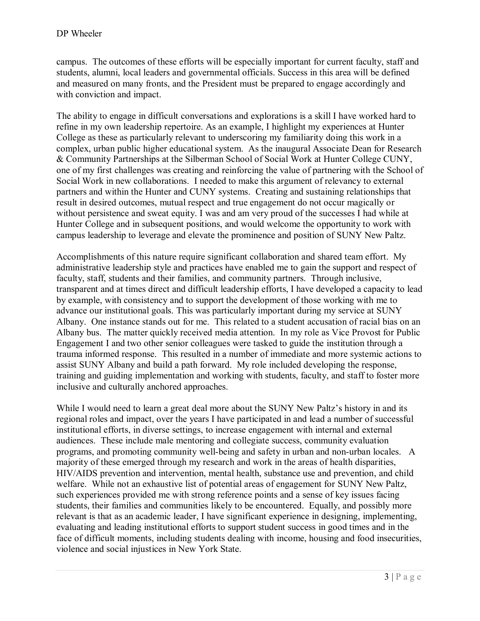campus. The outcomes of these efforts will be especially important for current faculty, staff and students, alumni, local leaders and governmental officials. Success in this area will be defined and measured on many fronts, and the President must be prepared to engage accordingly and with conviction and impact.

The ability to engage in difficult conversations and explorations is a skill I have worked hard to refine in my own leadership repertoire. As an example, I highlight my experiences at Hunter College as these as particularly relevant to underscoring my familiarity doing this work in a complex, urban public higher educational system. As the inaugural Associate Dean for Research & Community Partnerships at the Silberman School of Social Work at Hunter College CUNY, one of my first challenges was creating and reinforcing the value of partnering with the School of Social Work in new collaborations. I needed to make this argument of relevancy to external partners and within the Hunter and CUNY systems. Creating and sustaining relationships that result in desired outcomes, mutual respect and true engagement do not occur magically or without persistence and sweat equity. I was and am very proud of the successes I had while at Hunter College and in subsequent positions, and would welcome the opportunity to work with campus leadership to leverage and elevate the prominence and position of SUNY New Paltz.

Accomplishments of this nature require significant collaboration and shared team effort. My administrative leadership style and practices have enabled me to gain the support and respect of faculty, staff, students and their families, and community partners. Through inclusive, transparent and at times direct and difficult leadership efforts, I have developed a capacity to lead by example, with consistency and to support the development of those working with me to advance our institutional goals. This was particularly important during my service at SUNY Albany. One instance stands out for me. This related to a student accusation of racial bias on an Albany bus. The matter quickly received media attention. In my role as Vice Provost for Public Engagement I and two other senior colleagues were tasked to guide the institution through a trauma informed response. This resulted in a number of immediate and more systemic actions to assist SUNY Albany and build a path forward. My role included developing the response, training and guiding implementation and working with students, faculty, and staff to foster more inclusive and culturally anchored approaches.

While I would need to learn a great deal more about the SUNY New Paltz's history in and its regional roles and impact, over the years I have participated in and lead a number of successful institutional efforts, in diverse settings, to increase engagement with internal and external audiences. These include male mentoring and collegiate success, community evaluation programs, and promoting community well-being and safety in urban and non-urban locales. A majority of these emerged through my research and work in the areas of health disparities, HIV/AIDS prevention and intervention, mental health, substance use and prevention, and child welfare. While not an exhaustive list of potential areas of engagement for SUNY New Paltz, such experiences provided me with strong reference points and a sense of key issues facing students, their families and communities likely to be encountered. Equally, and possibly more relevant is that as an academic leader, I have significant experience in designing, implementing, evaluating and leading institutional efforts to support student success in good times and in the face of difficult moments, including students dealing with income, housing and food insecurities, violence and social injustices in New York State.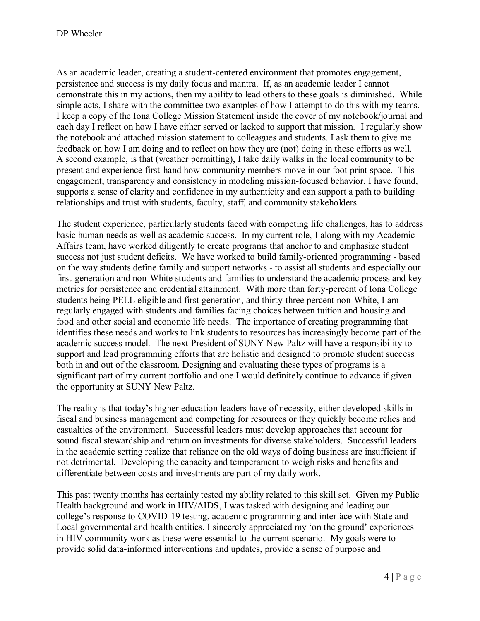As an academic leader, creating a student-centered environment that promotes engagement, persistence and success is my daily focus and mantra. If, as an academic leader I cannot demonstrate this in my actions, then my ability to lead others to these goals is diminished. While simple acts, I share with the committee two examples of how I attempt to do this with my teams. I keep a copy of the Iona College Mission Statement inside the cover of my notebook/journal and each day I reflect on how I have either served or lacked to support that mission. I regularly show the notebook and attached mission statement to colleagues and students. I ask them to give me feedback on how I am doing and to reflect on how they are (not) doing in these efforts as well. A second example, is that (weather permitting), I take daily walks in the local community to be present and experience first-hand how community members move in our foot print space. This engagement, transparency and consistency in modeling mission-focused behavior, I have found, supports a sense of clarity and confidence in my authenticity and can support a path to building relationships and trust with students, faculty, staff, and community stakeholders.

The student experience, particularly students faced with competing life challenges, has to address basic human needs as well as academic success. In my current role, I along with my Academic Affairs team, have worked diligently to create programs that anchor to and emphasize student success not just student deficits. We have worked to build family-oriented programming - based on the way students define family and support networks - to assist all students and especially our first-generation and non-White students and families to understand the academic process and key metrics for persistence and credential attainment. With more than forty-percent of Iona College students being PELL eligible and first generation, and thirty-three percent non-White, I am regularly engaged with students and families facing choices between tuition and housing and food and other social and economic life needs. The importance of creating programming that identifies these needs and works to link students to resources has increasingly become part of the academic success model. The next President of SUNY New Paltz will have a responsibility to support and lead programming efforts that are holistic and designed to promote student success both in and out of the classroom. Designing and evaluating these types of programs is a significant part of my current portfolio and one I would definitely continue to advance if given the opportunity at SUNY New Paltz.

The reality is that today's higher education leaders have of necessity, either developed skills in fiscal and business management and competing for resources or they quickly become relics and casualties of the environment. Successful leaders must develop approaches that account for sound fiscal stewardship and return on investments for diverse stakeholders. Successful leaders in the academic setting realize that reliance on the old ways of doing business are insufficient if not detrimental. Developing the capacity and temperament to weigh risks and benefits and differentiate between costs and investments are part of my daily work.

This past twenty months has certainly tested my ability related to this skill set. Given my Public Health background and work in HIV/AIDS, I was tasked with designing and leading our college's response to COVID-19 testing, academic programming and interface with State and Local governmental and health entities. I sincerely appreciated my 'on the ground' experiences in HIV community work as these were essential to the current scenario. My goals were to provide solid data-informed interventions and updates, provide a sense of purpose and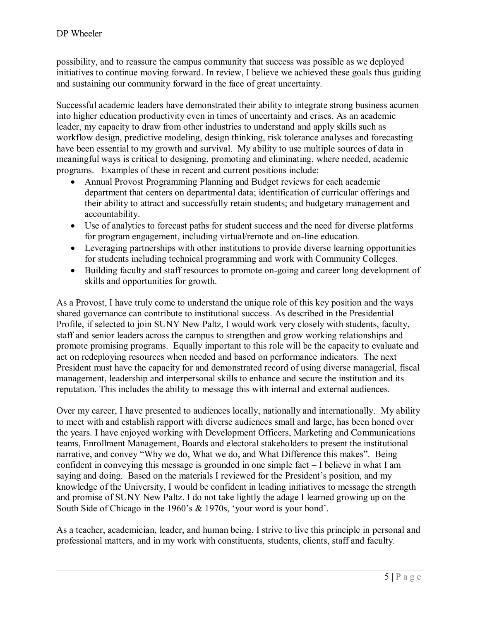possibility, and to reassure the campus community that success was possible as we deployed initiatives to continue moving forward. In review, I believe we achieved these goals thus guiding and sustaining our community forward in the face of great uncertainty.

Successful academic leaders have demonstrated their ability to integrate strong business acumen into higher education productivity even in times of uncertainty and crises. As an academic leader, my capacity to draw from other industries to understand and apply skills such as workflow design, predictive modeling, design thinking, risk tolerance analyses and forecasting have been essential to my growth and survival. My ability to use multiple sources of data in meaningful ways is critical to designing, promoting and eliminating, where needed, academic programs. Examples of these in recent and current positions include:

- Annual Provost Programming Planning and Budget reviews for each academic department that centers on departmental data; identification of curricular offerings and their ability to attract and successfully retain students; and budgetary management and accountability.
- Use of analytics to forecast paths for student success and the need for diverse platforms for program engagement, including virtual/remote and on-line education.
- Leveraging partnerships with other institutions to provide diverse learning opportunities for students including technical programming and work with Community Colleges.
- Building faculty and staff resources to promote on-going and career long development of skills and opportunities for growth.

As a Provost, I have truly come to understand the unique role of this key position and the ways shared governance can contribute to institutional success. As described in the Presidential Profile, if selected to join SUNY New Paltz, I would work very closely with students, faculty, staff and senior leaders across the campus to strengthen and grow working relationships and promote promising programs. Equally important to this role will be the capacity to evaluate and act on redeploying resources when needed and based on performance indicators. The next President must have the capacity for and demonstrated record of using diverse managerial, fiscal management, leadership and interpersonal skills to enhance and secure the institution and its reputation. This includes the ability to message this with internal and external audiences.

Over my career, I have presented to audiences locally, nationally and internationally. My ability to meet with and establish rapport with diverse audiences small and large, has been honed over the years. I have enjoyed working with Development Officers, Marketing and Communications teams, Enrollment Management, Boards and electoral stakeholders to present the institutional narrative, and convey "Why we do, What we do, and What Difference this makes". Being confident in conveying this message is grounded in one simple fact – I believe in what I am saying and doing. Based on the materials I reviewed for the President's position, and my knowledge of the University, I would be confident in leading initiatives to message the strength and promise of SUNY New Paltz. I do not take lightly the adage I learned growing up on the South Side of Chicago in the 1960's & 1970s, 'your word is your bond'.

As a teacher, academician, leader, and human being, I strive to live this principle in personal and professional matters, and in my work with constituents, students, clients, staff and faculty.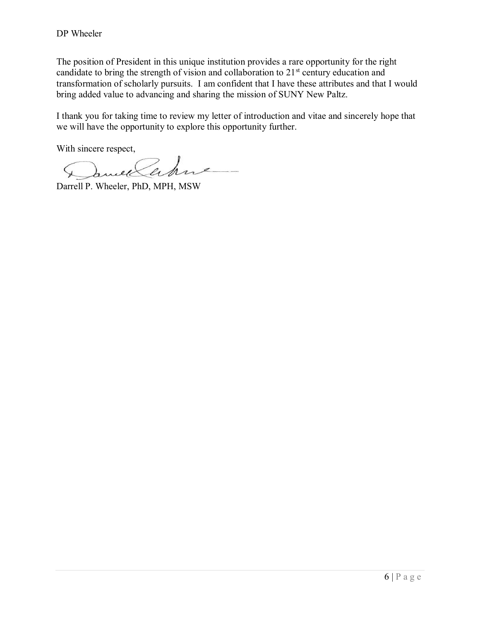The position of President in this unique institution provides a rare opportunity for the right candidate to bring the strength of vision and collaboration to 21<sup>st</sup> century education and transformation of scholarly pursuits. I am confident that I have these attributes and that I would bring added value to advancing and sharing the mission of SUNY New Paltz.

I thank you for taking time to review my letter of introduction and vitae and sincerely hope that we will have the opportunity to explore this opportunity further.

With sincere respect,

Darrell P. Wheeler, PhD, MPH, MSW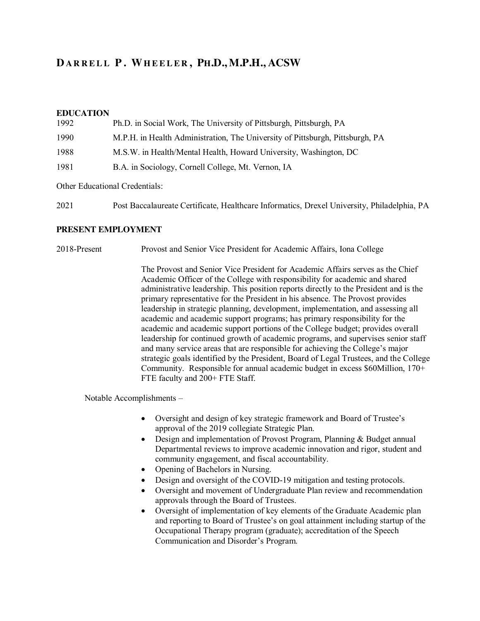# **DARRELL P . WHEELER , PH.D., M.P.H., ACSW**

#### **EDUCATION**

| Ph.D. in Social Work, The University of Pittsburgh, Pittsburgh, PA            |
|-------------------------------------------------------------------------------|
| M.P.H. in Health Administration, The University of Pittsburgh, Pittsburgh, PA |
| M.S.W. in Health/Mental Health, Howard University, Washington, DC             |
|                                                                               |
|                                                                               |

Other Educational Credentials:

| 2021 |  | Post Baccalaureate Certificate, Healthcare Informatics, Drexel University, Philadelphia, PA |  |  |
|------|--|---------------------------------------------------------------------------------------------|--|--|
|      |  |                                                                                             |  |  |

#### **PRESENT EMPLOYMENT**

2018-Present Provost and Senior Vice President for Academic Affairs, Iona College

The Provost and Senior Vice President for Academic Affairs serves as the Chief Academic Officer of the College with responsibility for academic and shared administrative leadership. This position reports directly to the President and is the primary representative for the President in his absence. The Provost provides leadership in strategic planning, development, implementation, and assessing all academic and academic support programs; has primary responsibility for the academic and academic support portions of the College budget; provides overall leadership for continued growth of academic programs, and supervises senior staff and many service areas that are responsible for achieving the College's major strategic goals identified by the President, Board of Legal Trustees, and the College Community. Responsible for annual academic budget in excess \$60Million, 170+ FTE faculty and 200+ FTE Staff.

Notable Accomplishments –

- Oversight and design of key strategic framework and Board of Trustee's approval of the 2019 collegiate Strategic Plan.
- $\bullet$  Design and implementation of Provost Program, Planning & Budget annual Departmental reviews to improve academic innovation and rigor, student and community engagement, and fiscal accountability.
- Opening of Bachelors in Nursing.
- Design and oversight of the COVID-19 mitigation and testing protocols.
- Oversight and movement of Undergraduate Plan review and recommendation approvals through the Board of Trustees.
- Oversight of implementation of key elements of the Graduate Academic plan and reporting to Board of Trustee's on goal attainment including startup of the Occupational Therapy program (graduate); accreditation of the Speech Communication and Disorder's Program.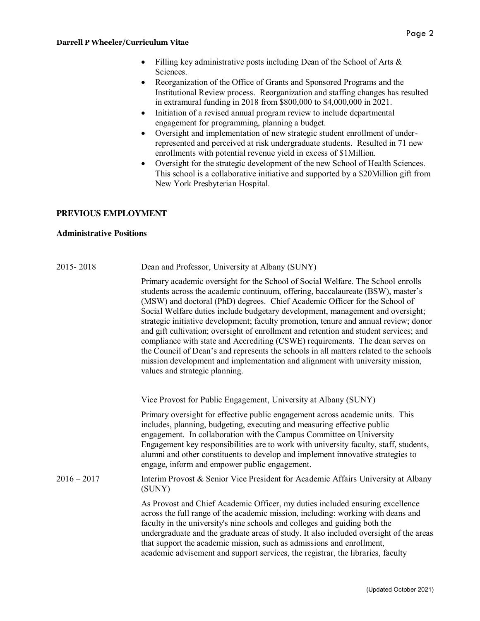- Filling key administrative posts including Dean of the School of Arts  $\&$ Sciences.
- x Reorganization of the Office of Grants and Sponsored Programs and the Institutional Review process. Reorganization and staffing changes has resulted in extramural funding in 2018 from \$800,000 to \$4,000,000 in 2021.
- Initiation of a revised annual program review to include departmental engagement for programming, planning a budget.
- Oversight and implementation of new strategic student enrollment of underrepresented and perceived at risk undergraduate students. Resulted in 71 new enrollments with potential revenue yield in excess of \$1Million.
- Oversight for the strategic development of the new School of Health Sciences. This school is a collaborative initiative and supported by a \$20Million gift from New York Presbyterian Hospital.

## **PREVIOUS EMPLOYMENT**

### **Administrative Positions**

| 2015 - 2018 | Dean and Professor, University at Albany (SUNY) |  |
|-------------|-------------------------------------------------|--|
|-------------|-------------------------------------------------|--|

Primary academic oversight for the School of Social Welfare. The School enrolls students across the academic continuum, offering, baccalaureate (BSW), master's (MSW) and doctoral (PhD) degrees. Chief Academic Officer for the School of Social Welfare duties include budgetary development, management and oversight; strategic initiative development; faculty promotion, tenure and annual review; donor and gift cultivation; oversight of enrollment and retention and student services; and compliance with state and Accrediting (CSWE) requirements. The dean serves on the Council of Dean's and represents the schools in all matters related to the schools mission development and implementation and alignment with university mission, values and strategic planning.

Vice Provost for Public Engagement, University at Albany (SUNY)

Primary oversight for effective public engagement across academic units. This includes, planning, budgeting, executing and measuring effective public engagement. In collaboration with the Campus Committee on University Engagement key responsibilities are to work with university faculty, staff, students, alumni and other constituents to develop and implement innovative strategies to engage, inform and empower public engagement.

### 2016 – 2017 Interim Provost & Senior Vice President for Academic Affairs University at Albany (SUNY)

As Provost and Chief Academic Officer, my duties included ensuring excellence across the full range of the academic mission, including: working with deans and faculty in the university's nine schools and colleges and guiding both the undergraduate and the graduate areas of study. It also included oversight of the areas that support the academic mission, such as admissions and enrollment, academic advisement and support services, the registrar, the libraries, faculty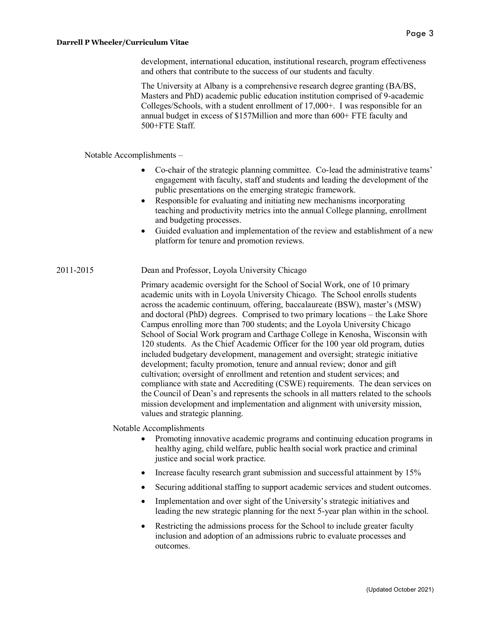development, international education, institutional research, program effectiveness and others that contribute to the success of our students and faculty.

The University at Albany is a comprehensive research degree granting (BA/BS, Masters and PhD) academic public education institution comprised of 9-academic Colleges/Schools, with a student enrollment of 17,000+. I was responsible for an annual budget in excess of \$157Million and more than 600+ FTE faculty and 500+FTE Staff.

Notable Accomplishments –

- x Co-chair of the strategic planning committee. Co-lead the administrative teams' engagement with faculty, staff and students and leading the development of the public presentations on the emerging strategic framework.
- x Responsible for evaluating and initiating new mechanisms incorporating teaching and productivity metrics into the annual College planning, enrollment and budgeting processes.
- Guided evaluation and implementation of the review and establishment of a new platform for tenure and promotion reviews.

### 2011-2015 Dean and Professor, Loyola University Chicago

Primary academic oversight for the School of Social Work, one of 10 primary academic units with in Loyola University Chicago. The School enrolls students across the academic continuum, offering, baccalaureate (BSW), master's (MSW) and doctoral (PhD) degrees. Comprised to two primary locations – the Lake Shore Campus enrolling more than 700 students; and the Loyola University Chicago School of Social Work program and Carthage College in Kenosha, Wisconsin with 120 students. As the Chief Academic Officer for the 100 year old program, duties included budgetary development, management and oversight; strategic initiative development; faculty promotion, tenure and annual review; donor and gift cultivation; oversight of enrollment and retention and student services; and compliance with state and Accrediting (CSWE) requirements. The dean services on the Council of Dean's and represents the schools in all matters related to the schools mission development and implementation and alignment with university mission, values and strategic planning.

Notable Accomplishments

- Promoting innovative academic programs and continuing education programs in healthy aging, child welfare, public health social work practice and criminal justice and social work practice.
- Increase faculty research grant submission and successful attainment by 15%
- Securing additional staffing to support academic services and student outcomes.
- Implementation and over sight of the University's strategic initiatives and leading the new strategic planning for the next 5-year plan within in the school.
- Restricting the admissions process for the School to include greater faculty inclusion and adoption of an admissions rubric to evaluate processes and outcomes.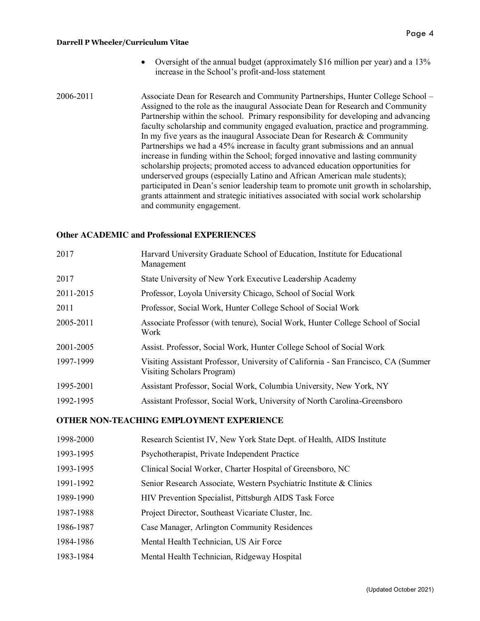- Oversight of the annual budget (approximately \$16 million per year) and a 13% increase in the School's profit-and-loss statement
- 2006-2011 Associate Dean for Research and Community Partnerships, Hunter College School Assigned to the role as the inaugural Associate Dean for Research and Community Partnership within the school. Primary responsibility for developing and advancing faculty scholarship and community engaged evaluation, practice and programming. In my five years as the inaugural Associate Dean for Research  $&$  Community Partnerships we had a 45% increase in faculty grant submissions and an annual increase in funding within the School; forged innovative and lasting community scholarship projects; promoted access to advanced education opportunities for underserved groups (especially Latino and African American male students); participated in Dean's senior leadership team to promote unit growth in scholarship, grants attainment and strategic initiatives associated with social work scholarship and community engagement.

### **Other ACADEMIC and Professional EXPERIENCES**

| 2017      | Harvard University Graduate School of Education, Institute for Educational<br>Management                          |
|-----------|-------------------------------------------------------------------------------------------------------------------|
| 2017      | State University of New York Executive Leadership Academy                                                         |
| 2011-2015 | Professor, Loyola University Chicago, School of Social Work                                                       |
| 2011      | Professor, Social Work, Hunter College School of Social Work                                                      |
| 2005-2011 | Associate Professor (with tenure), Social Work, Hunter College School of Social<br>Work                           |
| 2001-2005 | Assist. Professor, Social Work, Hunter College School of Social Work                                              |
| 1997-1999 | Visiting Assistant Professor, University of California - San Francisco, CA (Summer)<br>Visiting Scholars Program) |
| 1995-2001 | Assistant Professor, Social Work, Columbia University, New York, NY                                               |
| 1992-1995 | Assistant Professor, Social Work, University of North Carolina-Greensboro                                         |
|           |                                                                                                                   |

### **OTHER NON-TEACHING EMPLOYMENT EXPERIENCE**

| 1998-2000 | Research Scientist IV, New York State Dept. of Health, AIDS Institute |
|-----------|-----------------------------------------------------------------------|
| 1993-1995 | Psychotherapist, Private Independent Practice                         |
| 1993-1995 | Clinical Social Worker, Charter Hospital of Greensboro, NC            |
| 1991-1992 | Senior Research Associate, Western Psychiatric Institute & Clinics    |
| 1989-1990 | HIV Prevention Specialist, Pittsburgh AIDS Task Force                 |
| 1987-1988 | Project Director, Southeast Vicariate Cluster, Inc.                   |
| 1986-1987 | Case Manager, Arlington Community Residences                          |
| 1984-1986 | Mental Health Technician, US Air Force                                |
| 1983-1984 | Mental Health Technician, Ridgeway Hospital                           |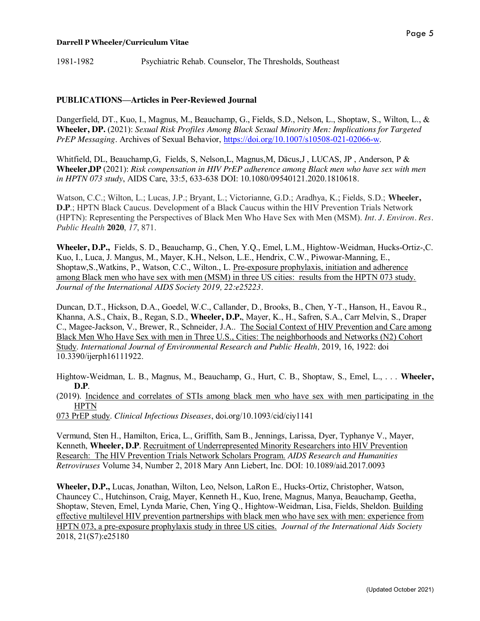#### **PUBLICATIONS—Articles in Peer-Reviewed Journal**

Dangerfield, DT., Kuo, I., Magnus, M., Beauchamp, G., Fields, S.D., Nelson, L., Shoptaw, S., Wilton, L., & **Wheeler, DP.** (2021): *Sexual Risk Profiles Among Black Sexual Minority Men: Implications for Targeted PrEP Messaging*. Archives of Sexual Behavior, https://doi.org/10.1007/s10508-021-02066-w.

Whitfield, DL, Beauchamp,G, Fields, S, Nelson,L, Magnus,M, Dācus,J , LUCAS, JP , Anderson, P & **Wheeler,DP** (2021): *Risk compensation in HIV PrEP adherence among Black men who have sex with men in HPTN 073 study*, AIDS Care, 33:5, 633-638 DOI: 10.1080/09540121.2020.1810618.

Watson, C.C.; Wilton, L.; Lucas, J.P.; Bryant, L.; Victorianne, G.D.; Aradhya, K.; Fields, S.D.; **Wheeler, D.P**.; HPTN Black Caucus. Development of a Black Caucus within the HIV Prevention Trials Network (HPTN): Representing the Perspectives of Black Men Who Have Sex with Men (MSM). *Int. J. Environ. Res. Public Health* **2020**, *17*, 871.

**Wheeler, D.P.,** Fields, S. D., Beauchamp, G., Chen, Y.Q., Emel, L.M., Hightow-Weidman, Hucks-Ortiz-,C. Kuo, I., Luca, J. Mangus, M., Mayer, K.H., Nelson, L.E., Hendrix, C.W., Piwowar-Manning, E., Shoptaw,S.,Watkins, P., Watson, C.C., Wilton., L. Pre-exposure prophylaxis, initiation and adherence among Black men who have sex with men (MSM) in three US cities: results from the HPTN 073 study. *Journal of the International AIDS Society 2019, 22:e25223.*

Duncan, D.T., Hickson, D.A., Goedel, W.C., Callander, D., Brooks, B., Chen, Y-T., Hanson, H., Eavou R., Khanna, A.S., Chaix, B., Regan, S.D., **Wheeler, D.P.**, Mayer, K., H., Safren, S.A., Carr Melvin, S., Draper C., Magee-Jackson, V., Brewer, R., Schneider, J.A.. The Social Context of HIV Prevention and Care among Black Men Who Have Sex with men in Three U.S., Cities: The neighborhoods and Networks (N2) Cohort Study. *International Journal of Environmental Research and Public Health,* 2019, 16, 1922: doi 10.3390/ijerph16111922.

Hightow-Weidman, L. B., Magnus, M., Beauchamp, G., Hurt, C. B., Shoptaw, S., Emel, L., . . . **Wheeler, D.P**.

(2019). Incidence and correlates of STIs among black men who have sex with men participating in the HPTN

073 PrEP study. *Clinical Infectious Diseases*, doi.org/10.1093/cid/ciy1141

Vermund, Sten H., Hamilton, Erica, L., Griffith, Sam B., Jennings, Larissa, Dyer, Typhanye V., Mayer, Kenneth, **Wheeler, D.P**. Recruitment of Underrepresented Minority Researchers into HIV Prevention Research: The HIV Prevention Trials Network Scholars Program. *AIDS Research and Humanities Retroviruses* Volume 34, Number 2, 2018 Mary Ann Liebert, Inc. DOI: 10.1089/aid.2017.0093

**Wheeler, D.P.,** Lucas, Jonathan, Wilton, Leo, Nelson, LaRon E., Hucks-Ortiz, Christopher, Watson, Chauncey C., Hutchinson, Craig, Mayer, Kenneth H., Kuo, Irene, Magnus, Manya, Beauchamp, Geetha, Shoptaw, Steven, Emel, Lynda Marie, Chen, Ying Q., Hightow-Weidman, Lisa, Fields, Sheldon. Building effective multilevel HIV prevention partnerships with black men who have sex with men: experience from HPTN 073, a pre-exposure prophylaxis study in three US cities. *Journal of the International Aids Society*  2018, 21(S7):e25180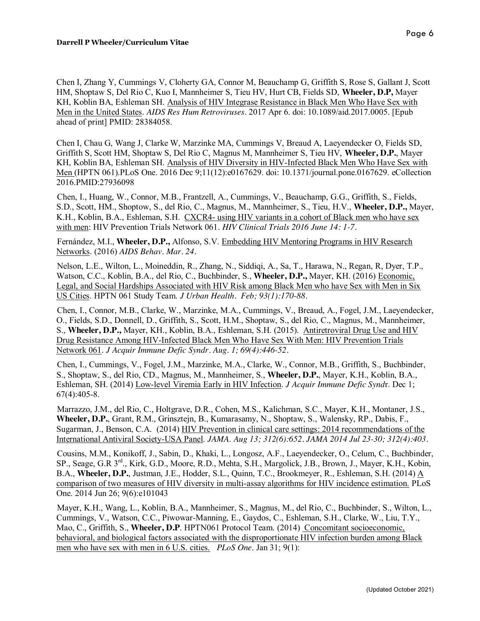Chen I, Zhang Y, Cummings V, Cloherty GA, Connor M, Beauchamp G, Griffith S, Rose S, Gallant J, Scott HM, Shoptaw S, Del Rio C, Kuo I, Mannheimer S, Tieu HV, Hurt CB, Fields SD, **Wheeler, D.P,** Mayer KH, Koblin BA, Eshleman SH. Analysis of HIV Integrase Resistance in Black Men Who Have Sex with Men in the United States. *AIDS Res Hum Retroviruses*. 2017 Apr 6. doi: 10.1089/aid.2017.0005. [Epub ahead of print] PMID: 28384058.

Chen I, Chau G, Wang J, Clarke W, Marzinke MA, Cummings V, Breaud A, Laeyendecker O, Fields SD, Griffith S, Scott HM, Shoptaw S, Del Rio C, Magnus M, Mannheimer S, Tieu HV, **Wheeler, D.P.**, Mayer KH, Koblin BA, Eshleman SH. Analysis of HIV Diversity in HIV-Infected Black Men Who Have Sex with Men (HPTN 061).PLoS One. 2016 Dec 9;11(12):e0167629. doi: 10.1371/journal.pone.0167629. eCollection 2016.PMID:27936098

Chen, I., Huang, W., Connor, M.B., Frantzell, A., Cummings, V., Beauchamp, G.G., Griffith, S., Fields, S.D., Scott, HM., Shoptow, S., del Rio, C., Magnus, M., Mannheimer, S., Tieu, H.V., **Wheeler, D.P.,** Mayer, K.H., Koblin, B.A., Eshleman, S.H. CXCR4- using HIV variants in a cohort of Black men who have sex with men: HIV Prevention Trials Network 061. *HIV Clinical Trials 2016 June 14: 1-7.*

Fernández, M.I., **Wheeler, D.P.,** Alfonso, S.V. Embedding HIV Mentoring Programs in HIV Research Networks. (2016) *AIDS Behav. Mar. 24.*

Nelson, L.E., Wilton, L., Moineddin, R., Zhang, N., Siddiqi, A., Sa, T., Harawa, N., Regan, R, Dyer, T.P., Watson, C.C., Koblin, B.A., del Rio, C., Buchbinder, S., **Wheeler, D.P.,** Mayer, KH. (2016) Economic, Legal, and Social Hardships Associated with HIV Risk among Black Men who have Sex with Men in Six US Cities. HPTN 061 Study Team. *J Urban Health. Feb; 93(1):170-88.*

Chen, I., Connor, M.B., Clarke, W., Marzinke, M.A., Cummings, V., Breaud, A., Fogel, J.M., Laeyendecker, O., Fields, S.D., Donnell, D., Griffith, S., Scott, H.M., Shoptaw, S., del Rio, C., Magnus, M., Mannheimer, S., **Wheeler, D.P.,** Mayer, KH., Koblin, B.A., Eshleman, S.H. (2015). Antiretroviral Drug Use and HIV Drug Resistance Among HIV-Infected Black Men Who Have Sex With Men: HIV Prevention Trials Network 061. *J Acquir Immune Defic Syndr. Aug. 1; 69(4):446-52.*

Chen, I., Cummings, V., Fogel, J.M., Marzinke, M.A., Clarke, W., Connor, M.B., Griffith, S., Buchbinder, S., Shoptaw, S., del Rio, CD., Magnus, M., Mannheimer, S., **Wheeler, D.P.**, Mayer, K.H., Koblin, B.A., Eshleman, SH. (2014) Low-level Viremia Early in HIV Infection. *J Acquir Immune Defic Synd*r. Dec 1;  $67(4):405-8.$ 

Marrazzo, J.M., del Rio, C., Holtgrave, D.R., Cohen, M.S., Kalichman, S.C., Mayer, K.H., Montaner, J.S., **Wheeler, D.P.**, Grant, R.M., Grinsztejn, B., Kumarasamy, N., Shoptaw, S., Walensky, RP., Dabis, F., Sugarman, J., Benson, C.A. (2014) HIV Prevention in clinical care settings: 2014 recommendations of the International Antiviral Society-USA Panel. *JAMA*. *Aug 13; 312(6):652. JAMA 2014 Jul 23-30; 312(4):403.*

Cousins, M.M., Konikoff, J., Sabin, D., Khaki, L., Longosz, A.F., Laeyendecker, O., Celum, C., Buchbinder, SP., Seage, G.R 3rd., Kirk, G.D., Moore, R.D., Mehta, S.H., Margolick, J.B., Brown, J., Mayer, K.H., Kobin, B.A., **Wheeler, D.P.**, Justman, J.E., Hodder, S.L., Quinn, T.C., Brookmeyer, R., Eshleman, S.H. (2014) A comparison of two measures of HIV diversity in multi-assay algorithms for HIV incidence estimation. PLoS One. 2014 Jun 26; 9(6):e101043

Mayer, K.H., Wang, L., Koblin, B.A., Mannheimer, S., Magnus, M., del Rio, C., Buchbinder, S., Wilton, L., Cummings, V., Watson, C.C., Piwowar-Manning, E., Gaydos, C., Eshleman, S.H., Clarke, W., Liu, T.Y., Mao, C., Griffith, S., **Wheeler, D.P**. HPTN061 Protocol Team. (2014) Concomitant socioeconomic, behavioral, and biological factors associated with the disproportionate HIV infection burden among Black men who have sex with men in 6 U.S. cities. *PLoS One*. Jan 31; 9(1):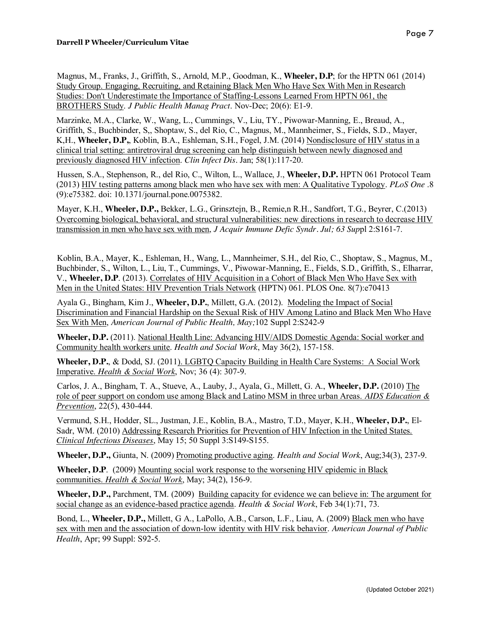Magnus, M., Franks, J., Griffith, S., Arnold, M.P., Goodman, K., **Wheeler, D.P**; for the HPTN 061 (2014) Study Group. Engaging, Recruiting, and Retaining Black Men Who Have Sex With Men in Research Studies: Don't Underestimate the Importance of Staffing-Lessons Learned From HPTN 061, the BROTHERS Study. *J Public Health Manag Pract*. Nov-Dec; 20(6): E1-9.

Marzinke, M.A., Clarke, W., Wang, L., Cummings, V., Liu, TY., Piwowar-Manning, E., Breaud, A., Griffith, S., Buchbinder, S,, Shoptaw, S., del Rio, C., Magnus, M., Mannheimer, S., Fields, S.D., Mayer, K,H., **Wheeler, D.P,**, Koblin, B.A., Eshleman, S.H., Fogel, J.M. (2014) Nondisclosure of HIV status in a clinical trial setting: antiretroviral drug screening can help distinguish between newly diagnosed and previously diagnosed HIV infection. *Clin Infect Dis.* Jan; 58(1):117-20.

Hussen, S.A., Stephenson, R., del Rio, C., Wilton, L., Wallace, J., **Wheeler, D.P.** HPTN 061 Protocol Team (2013) HIV testing patterns among black men who have sex with men: A Qualitative Typology. *PLoS One* .8 (9):e75382. doi: 10.1371/journal.pone.0075382.

Mayer, K.H., **Wheeler, D.P.,** Bekker, L.G., Grinsztejn, B., Remie,n R.H., Sandfort, T.G., Beyrer, C.(2013) Overcoming biological, behavioral, and structural vulnerabilities: new directions in research to decrease HIV transmission in men who have sex with men, *J Acquir Immune Defic Syndr. Jul; 63 Sup*pl 2:S161-7.

Koblin, B.A., Mayer, K., Eshleman, H., Wang, L., Mannheimer, S.H., del Rio, C., Shoptaw, S., Magnus, M., Buchbinder, S., Wilton, L., Liu, T., Cummings, V., Piwowar-Manning, E., Fields, S.D., Griffith, S., Elharrar, V., **Wheeler, D.P**. (2013). Correlates of HIV Acquisition in a Cohort of Black Men Who Have Sex with Men in the United States: HIV Prevention Trials Network (HPTN) 061. PLOS One. 8(7):e70413

Ayala G., Bingham, Kim J., **Wheeler, D.P.**, Millett, G.A. (2012). Modeling the Impact of Social Discrimination and Financial Hardship on the Sexual Risk of HIV Among Latino and Black Men Who Have Sex With Men, *American Journal of Public Health, May;*102 Suppl 2:S242-9

**Wheeler, D.P.** (2011). National Health Line: Advancing HIV/AIDS Domestic Agenda: Social worker and Community health workers unite. *Health and Social Work*, May 36(2), 157-158.

**Wheeler, D.P.**, & Dodd, SJ. (2011). LGBTQ Capacity Building in Health Care Systems: A Social Work Imperative. *Health & Social Work*, Nov; 36 (4): 307-9.

Carlos, J. A., Bingham, T. A., Stueve, A., Lauby, J., Ayala, G., Millett, G. A., **Wheeler, D.P.** (2010) The role of peer support on condom use among Black and Latino MSM in three urban Areas. *AIDS Education & Prevention*, 22(5), 430-444.

Vermund, S.H., Hodder, SL., Justman, J.E., Koblin, B.A., Mastro, T.D., Mayer, K.H., **Wheeler, D.P.**, El-Sadr, WM. (2010) Addressing Research Priorities for Prevention of HIV Infection in the United States. *Clinical Infectious Diseases*, May 15; 50 Suppl 3:S149-S155.

**Wheeler, D.P.,** Giunta, N. (2009) Promoting productive aging. *Health and Social Work*, Aug;34(3), 237-9.

**Wheeler, D.P**. (2009) Mounting social work response to the worsening HIV epidemic in Black communities. *Health & Social Work*, May; 34(2), 156-9.

**Wheeler, D.P.,** Parchment, TM. (2009) Building capacity for evidence we can believe in: The argument for social change as an evidence-based practice agenda. *Health & Social Work*, Feb 34(1):71, 73.

Bond, L., **Wheeler, D.P.,** Millett, G A., LaPollo, A.B., Carson, L.F., Liau, A. (2009) Black men who have sex with men and the association of down-low identity with HIV risk behavior. *American Journal of Public Health*, Apr; 99 Suppl: S92-5.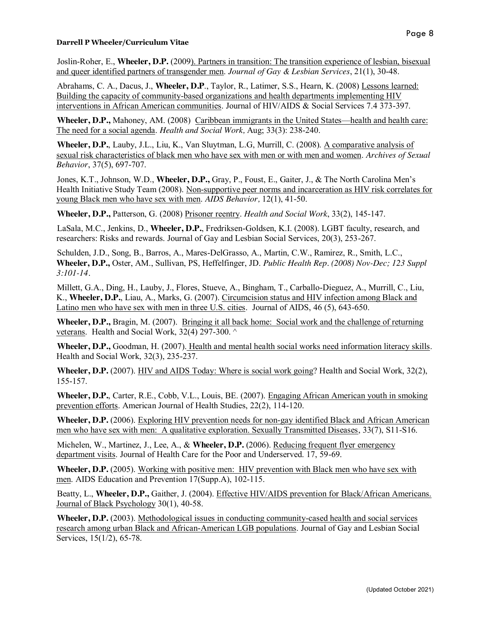Joslin-Roher, E., **Wheeler, D.P.** (2009). Partners in transition: The transition experience of lesbian, bisexual and queer identified partners of transgender men. *Journal of Gay & Lesbian Services*, 21(1), 30-48.

Abrahams, C. A., Dacus, J., **Wheeler, D.P**., Taylor, R., Latimer, S.S., Hearn, K. (2008) Lessons learned: Building the capacity of community-based organizations and health departments implementing HIV interventions in African American communities. Journal of HIV/AIDS & Social Services 7.4 373-397.

**Wheeler, D.P.,** Mahoney, AM. (2008) Caribbean immigrants in the United States—health and health care: The need for a social agenda. *Health and Social Work,* Aug; 33(3): 238-240.

**Wheeler, D.P.**, Lauby, J.L., Liu, K., Van Sluytman, L.G, Murrill, C. (2008). A comparative analysis of sexual risk characteristics of black men who have sex with men or with men and women. *Archives of Sexual Behavior*, 37(5), 697-707.

Jones, K.T., Johnson, W.D., **Wheeler, D.P.,** Gray, P., Foust, E., Gaiter, J., & The North Carolina Men's Health Initiative Study Team (2008). Non-supportive peer norms and incarceration as HIV risk correlates for young Black men who have sex with men. *AIDS Behavior,* 12(1), 41-50.

**Wheeler, D.P.,** Patterson, G. (2008) Prisoner reentry. *Health and Social Work*, 33(2), 145-147.

LaSala, M.C., Jenkins, D., **Wheeler, D.P.**, Fredriksen-Goldsen, K.I. (2008). LGBT faculty, research, and researchers: Risks and rewards. Journal of Gay and Lesbian Social Services, 20(3), 253-267.

Schulden, J.D., Song, B., Barros, A., Mares-DelGrasso, A., Martin, C.W., Ramirez, R., Smith, L.C., **Wheeler, D.P.,** Oster, AM., Sullivan, PS, Heffelfinger, JD. *Public Health Rep. (2008) Nov-Dec; 123 Suppl 3:101-14.*

Millett, G.A., Ding, H., Lauby, J., Flores, Stueve, A., Bingham, T., Carballo-Dieguez, A., Murrill, C., Liu, K., **Wheeler, D.P.**, Liau, A., Marks, G. (2007). Circumcision status and HIV infection among Black and Latino men who have sex with men in three U.S. cities. Journal of AIDS, 46 (5), 643-650.

**Wheeler, D.P.,** Bragin, M. (2007). Bringing it all back home: Social work and the challenge of returning veterans. Health and Social Work, 32(4) 297-300. ^

**Wheeler, D.P.,** Goodman, H. (2007). Health and mental health social works need information literacy skills. Health and Social Work, 32(3), 235-237.

**Wheeler, D.P.** (2007). HIV and AIDS Today: Where is social work going? Health and Social Work, 32(2), 155-157.

**Wheeler, D.P.**, Carter, R.E., Cobb, V.L., Louis, BE. (2007). Engaging African American youth in smoking prevention efforts. American Journal of Health Studies, 22(2), 114-120.

**Wheeler, D.P.** (2006). Exploring HIV prevention needs for non-gay identified Black and African American men who have sex with men: A qualitative exploration. Sexually Transmitted Diseases, 33(7), S11-S16.

Michelen, W., Martinez, J., Lee, A., & **Wheeler, D.P.** (2006). Reducing frequent flyer emergency department visits. Journal of Health Care for the Poor and Underserved. 17, 59-69.

**Wheeler, D.P.** (2005). Working with positive men: HIV prevention with Black men who have sex with men. AIDS Education and Prevention 17(Supp.A), 102-115.

Beatty, L., **Wheeler, D.P.,** Gaither, J. (2004). Effective HIV/AIDS prevention for Black/African Americans. Journal of Black Psychology 30(1), 40-58.

**Wheeler, D.P.** (2003). Methodological issues in conducting community-cased health and social services research among urban Black and African-American LGB populations. Journal of Gay and Lesbian Social Services, 15(1/2), 65-78.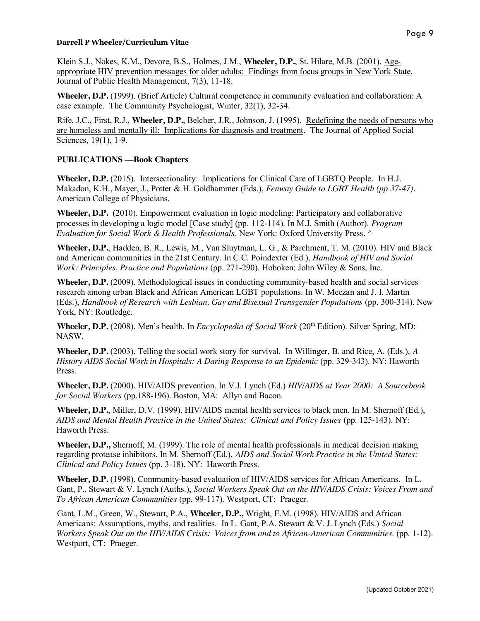Klein S.J., Nokes, K.M., Devore, B.S., Holmes, J.M., **Wheeler, D.P.**, St. Hilare, M.B. (2001). Ageappropriate HIV prevention messages for older adults: Findings from focus groups in New York State, Journal of Public Health Management, 7(3), 11-18.

**Wheeler, D.P.** (1999). (Brief Article) Cultural competence in community evaluation and collaboration: A case example. The Community Psychologist, Winter, 32(1), 32-34.

Rife, J.C., First, R.J., **Wheeler, D.P.**, Belcher, J.R., Johnson, J. (1995). Redefining the needs of persons who are homeless and mentally ill: Implications for diagnosis and treatment. The Journal of Applied Social Sciences, 19(1), 1-9.

## **PUBLICATIONS —Book Chapters**

**Wheeler, D.P.** (2015). Intersectionality: Implications for Clinical Care of LGBTQ People. In H.J. Makadon, K.H., Mayer, J., Potter & H. Goldhammer (Eds.), *Fenway Guide to LGBT Health (pp 37-47).*  American College of Physicians.

**Wheeler, D.P.** (2010). Empowerment evaluation in logic modeling: Participatory and collaborative processes in developing a logic model [Case study] (pp. 112-114). In M.J. Smith (Author). *Program Evaluation for Social Work & Health Professionals.* New York: Oxford University Press. ^

**Wheeler, D.P.**, Hadden, B. R., Lewis, M., Van Sluytman, L. G., & Parchment, T. M. (2010). HIV and Black and American communities in the 21st Century. In C.C. Poindexter (Ed.), *Handbook of HIV and Social Work: Principles, Practice and Populations* (pp. 271-290). Hoboken: John Wiley & Sons, Inc.

**Wheeler, D.P.** (2009). Methodological issues in conducting community-based health and social services research among urban Black and African American LGBT populations. In W. Meezan and J. I. Martin (Eds.), *Handbook of Research with Lesbian, Gay and Bisexual Transgender Populations* (pp. 300-314). New York, NY: Routledge.

**Wheeler, D.P.** (2008). Men's health. In *Encyclopedia of Social Work* (20<sup>th</sup> Edition). Silver Spring, MD: NASW.

**Wheeler, D.P.** (2003). Telling the social work story for survival. In Willinger, B. and Rice, A. (Eds.), *A History AIDS Social Work in Hospitals: A Daring Response to an Epidemic* (pp. 329-343). NY: Haworth Press.

**Wheeler, D.P.** (2000). HIV/AIDS prevention. In V.J. Lynch (Ed.) *HIV/AIDS at Year 2000: A Sourcebook for Social Workers* (pp.188-196). Boston, MA: Allyn and Bacon.

**Wheeler, D.P.**, Miller, D.V. (1999). HIV/AIDS mental health services to black men. In M. Shernoff (Ed.), *AIDS and Mental Health Practice in the United States: Clinical and Policy Issues* (pp. 125-143). NY: Haworth Press.

**Wheeler, D.P.,** Shernoff, M. (1999). The role of mental health professionals in medical decision making regarding protease inhibitors. In M. Shernoff (Ed.), *AIDS and Social Work Practice in the United States: Clinical and Policy Issues* (pp. 3-18). NY: Haworth Press.

**Wheeler, D.P.** (1998). Community-based evaluation of HIV/AIDS services for African Americans. In L. Gant, P., Stewart & V. Lynch (Auths.), *Social Workers Speak Out on the HIV/AIDS Crisis: Voices From and To African American Communities* (pp. 99-117). Westport, CT: Praeger.

Gant, L.M., Green, W., Stewart, P.A., **Wheeler, D.P.,** Wright, E.M. (1998). HIV/AIDS and African Americans: Assumptions, myths, and realities. In L. Gant, P.A. Stewart & V. J. Lynch (Eds.) *Social Workers Speak Out on the HIV/AIDS Crisis: Voices from and to African-American Communities*. (pp. 1-12). Westport, CT: Praeger.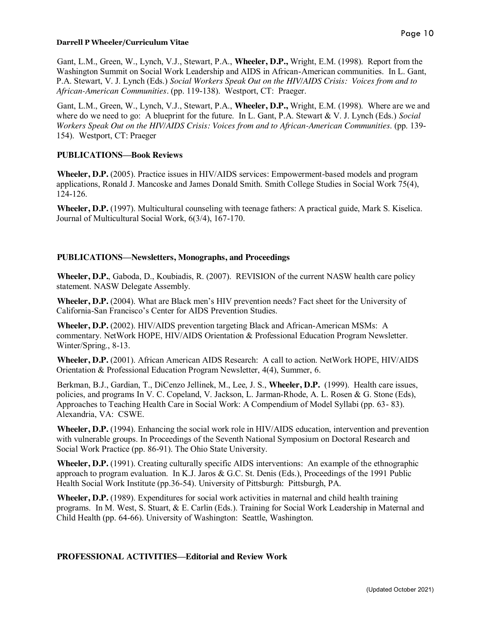Gant, L.M., Green, W., Lynch, V.J., Stewart, P.A., **Wheeler, D.P.,** Wright, E.M. (1998). Report from the Washington Summit on Social Work Leadership and AIDS in African-American communities. In L. Gant, P.A. Stewart, V. J. Lynch (Eds.) *Social Workers Speak Out on the HIV/AIDS Crisis: Voices from and to African-American Communities.* (pp. 119-138). Westport, CT: Praeger.

Gant, L.M., Green, W., Lynch, V.J., Stewart, P.A., **Wheeler, D.P.,** Wright, E.M. (1998). Where are we and where do we need to go: A blueprint for the future. In L. Gant, P.A. Stewart & V. J. Lynch (Eds.) *Social Workers Speak Out on the HIV/AIDS Crisis: Voices from and to African-American Communities*. (pp. 139- 154). Westport, CT: Praeger

### **PUBLICATIONS—Book Reviews**

**Wheeler, D.P.** (2005). Practice issues in HIV/AIDS services: Empowerment-based models and program applications, Ronald J. Mancoske and James Donald Smith. Smith College Studies in Social Work 75(4), 124-126.

**Wheeler, D.P.** (1997). Multicultural counseling with teenage fathers: A practical guide, Mark S. Kiselica. Journal of Multicultural Social Work, 6(3/4), 167-170.

### **PUBLICATIONS—Newsletters, Monographs, and Proceedings**

**Wheeler, D.P.**, Gaboda, D., Koubiadis, R. (2007). REVISION of the current NASW health care policy statement. NASW Delegate Assembly.

**Wheeler, D.P.** (2004). What are Black men's HIV prevention needs? Fact sheet for the University of California-San Francisco's Center for AIDS Prevention Studies.

**Wheeler, D.P.** (2002). HIV/AIDS prevention targeting Black and African-American MSMs: A commentary. NetWork HOPE, HIV/AIDS Orientation & Professional Education Program Newsletter. Winter/Spring., 8-13.

**Wheeler, D.P.** (2001). African American AIDS Research: A call to action. NetWork HOPE, HIV/AIDS Orientation & Professional Education Program Newsletter, 4(4), Summer, 6.

Berkman, B.J., Gardian, T., DiCenzo Jellinek, M., Lee, J. S., **Wheeler, D.P.** (1999). Health care issues, policies, and programs In V. C. Copeland, V. Jackson, L. Jarman-Rhode, A. L. Rosen & G. Stone (Eds), Approaches to Teaching Health Care in Social Work: A Compendium of Model Syllabi (pp. 63- 83). Alexandria, VA: CSWE.

**Wheeler, D.P.** (1994). Enhancing the social work role in HIV/AIDS education, intervention and prevention with vulnerable groups. In Proceedings of the Seventh National Symposium on Doctoral Research and Social Work Practice (pp. 86-91). The Ohio State University.

**Wheeler, D.P.** (1991). Creating culturally specific AIDS interventions: An example of the ethnographic approach to program evaluation. In K.J. Jaros & G.C. St. Denis (Eds.), Proceedings of the 1991 Public Health Social Work Institute (pp.36-54). University of Pittsburgh: Pittsburgh, PA.

**Wheeler, D.P.** (1989). Expenditures for social work activities in maternal and child health training programs. In M. West, S. Stuart, & E. Carlin (Eds.). Training for Social Work Leadership in Maternal and Child Health (pp. 64-66). University of Washington: Seattle, Washington.

#### **PROFESSIONAL ACTIVITIES—Editorial and Review Work**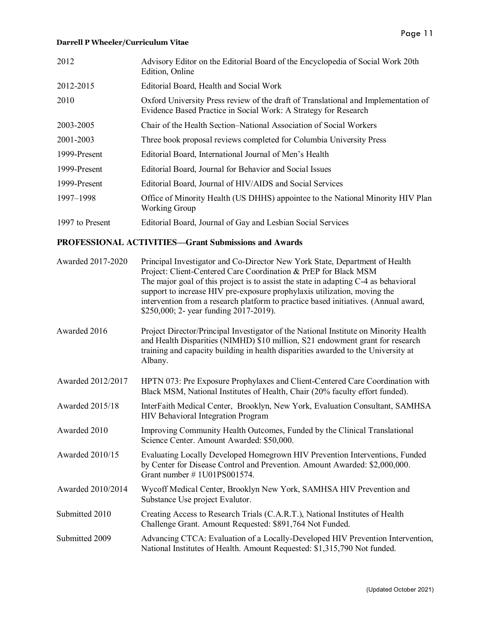| 2012            | Advisory Editor on the Editorial Board of the Encyclopedia of Social Work 20th<br>Edition, Online                                                     |
|-----------------|-------------------------------------------------------------------------------------------------------------------------------------------------------|
| 2012-2015       | Editorial Board, Health and Social Work                                                                                                               |
| 2010            | Oxford University Press review of the draft of Translational and Implementation of<br>Evidence Based Practice in Social Work: A Strategy for Research |
| 2003-2005       | Chair of the Health Section-National Association of Social Workers                                                                                    |
| 2001-2003       | Three book proposal reviews completed for Columbia University Press                                                                                   |
| 1999-Present    | Editorial Board, International Journal of Men's Health                                                                                                |
| 1999-Present    | Editorial Board, Journal for Behavior and Social Issues                                                                                               |
| 1999-Present    | Editorial Board, Journal of HIV/AIDS and Social Services                                                                                              |
| 1997–1998       | Office of Minority Health (US DHHS) appointee to the National Minority HIV Plan<br><b>Working Group</b>                                               |
| 1997 to Present | Editorial Board, Journal of Gay and Lesbian Social Services                                                                                           |

### **PROFESSIONAL ACTIVITIES—Grant Submissions and Awards**

| Awarded 2017-2020      | Principal Investigator and Co-Director New York State, Department of Health<br>Project: Client-Centered Care Coordination & PrEP for Black MSM<br>The major goal of this project is to assist the state in adapting C-4 as behavioral<br>support to increase HIV pre-exposure prophylaxis utilization, moving the<br>intervention from a research platform to practice based initiatives. (Annual award,<br>\$250,000; 2- year funding 2017-2019). |
|------------------------|----------------------------------------------------------------------------------------------------------------------------------------------------------------------------------------------------------------------------------------------------------------------------------------------------------------------------------------------------------------------------------------------------------------------------------------------------|
| Awarded 2016           | Project Director/Principal Investigator of the National Institute on Minority Health<br>and Health Disparities (NIMHD) \$10 million, S21 endowment grant for research<br>training and capacity building in health disparities awarded to the University at<br>Albany.                                                                                                                                                                              |
| Awarded 2012/2017      | HPTN 073: Pre Exposure Prophylaxes and Client-Centered Care Coordination with<br>Black MSM, National Institutes of Health, Chair (20% faculty effort funded).                                                                                                                                                                                                                                                                                      |
| <b>Awarded 2015/18</b> | InterFaith Medical Center, Brooklyn, New York, Evaluation Consultant, SAMHSA<br><b>HIV Behavioral Integration Program</b>                                                                                                                                                                                                                                                                                                                          |
| Awarded 2010           | Improving Community Health Outcomes, Funded by the Clinical Translational<br>Science Center. Amount Awarded: \$50,000.                                                                                                                                                                                                                                                                                                                             |
| <b>Awarded 2010/15</b> | Evaluating Locally Developed Homegrown HIV Prevention Interventions, Funded<br>by Center for Disease Control and Prevention. Amount Awarded: \$2,000,000.<br>Grant number $\# 1U01PS001574$ .                                                                                                                                                                                                                                                      |
| Awarded 2010/2014      | Wycoff Medical Center, Brooklyn New York, SAMHSA HIV Prevention and<br>Substance Use project Evalutor.                                                                                                                                                                                                                                                                                                                                             |
| Submitted 2010         | Creating Access to Research Trials (C.A.R.T.), National Institutes of Health<br>Challenge Grant. Amount Requested: \$891,764 Not Funded.                                                                                                                                                                                                                                                                                                           |
| Submitted 2009         | Advancing CTCA: Evaluation of a Locally-Developed HIV Prevention Intervention,<br>National Institutes of Health. Amount Requested: \$1,315,790 Not funded.                                                                                                                                                                                                                                                                                         |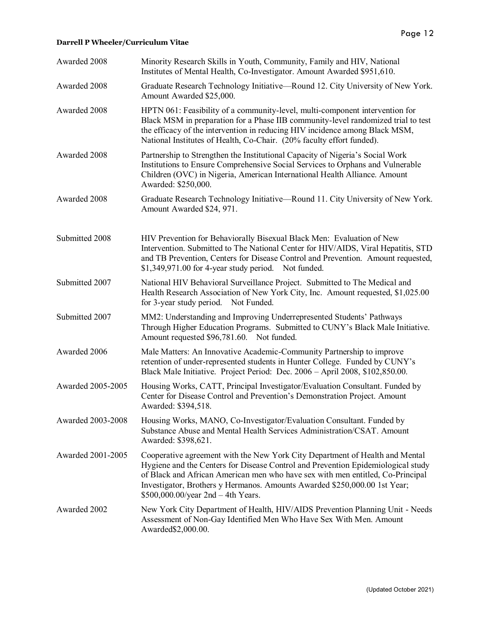| Awarded 2008             | Minority Research Skills in Youth, Community, Family and HIV, National<br>Institutes of Mental Health, Co-Investigator. Amount Awarded \$951,610.                                                                                                                                                                                                                             |
|--------------------------|-------------------------------------------------------------------------------------------------------------------------------------------------------------------------------------------------------------------------------------------------------------------------------------------------------------------------------------------------------------------------------|
| Awarded 2008             | Graduate Research Technology Initiative—Round 12. City University of New York.<br>Amount Awarded \$25,000.                                                                                                                                                                                                                                                                    |
| Awarded 2008             | HPTN 061: Feasibility of a community-level, multi-component intervention for<br>Black MSM in preparation for a Phase IIB community-level randomized trial to test<br>the efficacy of the intervention in reducing HIV incidence among Black MSM,<br>National Institutes of Health, Co-Chair. (20% faculty effort funded).                                                     |
| Awarded 2008             | Partnership to Strengthen the Institutional Capacity of Nigeria's Social Work<br>Institutions to Ensure Comprehensive Social Services to Orphans and Vulnerable<br>Children (OVC) in Nigeria, American International Health Alliance. Amount<br>Awarded: \$250,000.                                                                                                           |
| Awarded 2008             | Graduate Research Technology Initiative—Round 11. City University of New York.<br>Amount Awarded \$24, 971.                                                                                                                                                                                                                                                                   |
| Submitted 2008           | HIV Prevention for Behaviorally Bisexual Black Men: Evaluation of New<br>Intervention. Submitted to The National Center for HIV/AIDS, Viral Hepatitis, STD<br>and TB Prevention, Centers for Disease Control and Prevention. Amount requested,<br>$$1,349,971.00$ for 4-year study period. Not funded.                                                                        |
| Submitted 2007           | National HIV Behavioral Surveillance Project. Submitted to The Medical and<br>Health Research Association of New York City, Inc. Amount requested, \$1,025.00<br>for 3-year study period. Not Funded.                                                                                                                                                                         |
| Submitted 2007           | MM2: Understanding and Improving Underrepresented Students' Pathways<br>Through Higher Education Programs. Submitted to CUNY's Black Male Initiative.<br>Amount requested \$96,781.60. Not funded.                                                                                                                                                                            |
| Awarded 2006             | Male Matters: An Innovative Academic-Community Partnership to improve<br>retention of under-represented students in Hunter College. Funded by CUNY's<br>Black Male Initiative. Project Period: Dec. 2006 - April 2008, \$102,850.00.                                                                                                                                          |
| Awarded 2005-2005        | Housing Works, CATT, Principal Investigator/Evaluation Consultant. Funded by<br>Center for Disease Control and Prevention's Demonstration Project. Amount<br>Awarded: \$394,518.                                                                                                                                                                                              |
| <b>Awarded 2003-2008</b> | Housing Works, MANO, Co-Investigator/Evaluation Consultant. Funded by<br>Substance Abuse and Mental Health Services Administration/CSAT. Amount<br>Awarded: \$398,621.                                                                                                                                                                                                        |
| Awarded 2001-2005        | Cooperative agreement with the New York City Department of Health and Mental<br>Hygiene and the Centers for Disease Control and Prevention Epidemiological study<br>of Black and African American men who have sex with men entitled, Co-Principal<br>Investigator, Brothers y Hermanos. Amounts Awarded \$250,000.00 1st Year;<br>$$500,000.00/\text{year}$ 2nd - 4th Years. |
| Awarded 2002             | New York City Department of Health, HIV/AIDS Prevention Planning Unit - Needs<br>Assessment of Non-Gay Identified Men Who Have Sex With Men. Amount<br>Awarded\$2,000.00.                                                                                                                                                                                                     |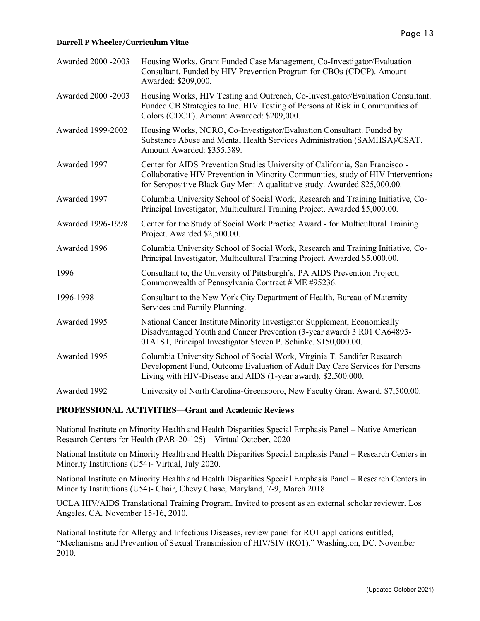| Awarded 2000 -2003 | Housing Works, Grant Funded Case Management, Co-Investigator/Evaluation<br>Consultant. Funded by HIV Prevention Program for CBOs (CDCP). Amount<br>Awarded: \$209,000.                                                                        |
|--------------------|-----------------------------------------------------------------------------------------------------------------------------------------------------------------------------------------------------------------------------------------------|
| Awarded 2000 -2003 | Housing Works, HIV Testing and Outreach, Co-Investigator/Evaluation Consultant.<br>Funded CB Strategies to Inc. HIV Testing of Persons at Risk in Communities of<br>Colors (CDCT). Amount Awarded: \$209,000.                                 |
| Awarded 1999-2002  | Housing Works, NCRO, Co-Investigator/Evaluation Consultant. Funded by<br>Substance Abuse and Mental Health Services Administration (SAMHSA)/CSAT.<br>Amount Awarded: \$355,589.                                                               |
| Awarded 1997       | Center for AIDS Prevention Studies University of California, San Francisco -<br>Collaborative HIV Prevention in Minority Communities, study of HIV Interventions<br>for Seropositive Black Gay Men: A qualitative study. Awarded \$25,000.00. |
| Awarded 1997       | Columbia University School of Social Work, Research and Training Initiative, Co-<br>Principal Investigator, Multicultural Training Project. Awarded \$5,000.00.                                                                               |
| Awarded 1996-1998  | Center for the Study of Social Work Practice Award - for Multicultural Training<br>Project. Awarded \$2,500.00.                                                                                                                               |
| Awarded 1996       | Columbia University School of Social Work, Research and Training Initiative, Co-<br>Principal Investigator, Multicultural Training Project. Awarded \$5,000.00.                                                                               |
| 1996               | Consultant to, the University of Pittsburgh's, PA AIDS Prevention Project,<br>Commonwealth of Pennsylvania Contract # ME #95236.                                                                                                              |
| 1996-1998          | Consultant to the New York City Department of Health, Bureau of Maternity<br>Services and Family Planning.                                                                                                                                    |
| Awarded 1995       | National Cancer Institute Minority Investigator Supplement, Economically<br>Disadvantaged Youth and Cancer Prevention (3-year award) 3 R01 CA64893-<br>01A1S1, Principal Investigator Steven P. Schinke. \$150,000.00.                        |
| Awarded 1995       | Columbia University School of Social Work, Virginia T. Sandifer Research<br>Development Fund, Outcome Evaluation of Adult Day Care Services for Persons<br>Living with HIV-Disease and AIDS (1-year award). \$2,500.000.                      |
| Awarded 1992       | University of North Carolina-Greensboro, New Faculty Grant Award. \$7,500.00.                                                                                                                                                                 |

#### **PROFESSIONAL ACTIVITIES—Grant and Academic Reviews**

National Institute on Minority Health and Health Disparities Special Emphasis Panel – Native American Research Centers for Health (PAR-20-125) – Virtual October, 2020

National Institute on Minority Health and Health Disparities Special Emphasis Panel – Research Centers in Minority Institutions (U54)- Virtual, July 2020.

National Institute on Minority Health and Health Disparities Special Emphasis Panel – Research Centers in Minority Institutions (U54)- Chair, Chevy Chase, Maryland, 7-9, March 2018.

UCLA HIV/AIDS Translational Training Program. Invited to present as an external scholar reviewer. Los Angeles, CA. November 15-16, 2010.

National Institute for Allergy and Infectious Diseases, review panel for RO1 applications entitled, "Mechanisms and Prevention of Sexual Transmission of HIV/SIV (RO1)." Washington, DC. November 2010.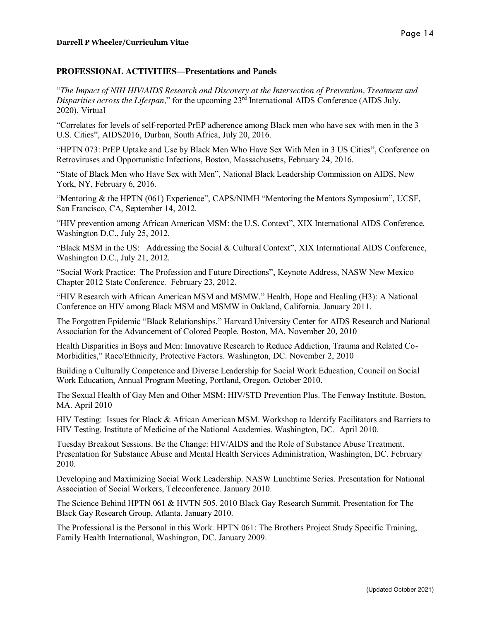#### **PROFESSIONAL ACTIVITIES—Presentations and Panels**

"*The Impact of NIH HIV/AIDS Research and Discovery at the Intersection of Prevention, Treatment and Disparities across the Lifespan*," for the upcoming 23<sup>rd</sup> International AIDS Conference (AIDS July, 2020). Virtual

"Correlates for levels of self-reported PrEP adherence among Black men who have sex with men in the 3 U.S. Cities", AIDS2016, Durban, South Africa, July 20, 2016.

"HPTN 073: PrEP Uptake and Use by Black Men Who Have Sex With Men in 3 US Cities", Conference on Retroviruses and Opportunistic Infections, Boston, Massachusetts, February 24, 2016.

"State of Black Men who Have Sex with Men", National Black Leadership Commission on AIDS, New York, NY, February 6, 2016.

"Mentoring & the HPTN (061) Experience", CAPS/NIMH "Mentoring the Mentors Symposium", UCSF, San Francisco, CA, September 14, 2012.

"HIV prevention among African American MSM: the U.S. Context", XIX International AIDS Conference, Washington D.C., July 25, 2012.

"Black MSM in the US: Addressing the Social & Cultural Context", XIX International AIDS Conference, Washington D.C., July 21, 2012.

"Social Work Practice: The Profession and Future Directions", Keynote Address, NASW New Mexico Chapter 2012 State Conference. February 23, 2012.

"HIV Research with African American MSM and MSMW." Health, Hope and Healing (H3): A National Conference on HIV among Black MSM and MSMW in Oakland, California. January 2011.

The Forgotten Epidemic "Black Relationships." Harvard University Center for AIDS Research and National Association for the Advancement of Colored People. Boston, MA. November 20, 2010

Health Disparities in Boys and Men: Innovative Research to Reduce Addiction, Trauma and Related Co-Morbidities," Race/Ethnicity, Protective Factors. Washington, DC. November 2, 2010

Building a Culturally Competence and Diverse Leadership for Social Work Education, Council on Social Work Education, Annual Program Meeting, Portland, Oregon. October 2010.

The Sexual Health of Gay Men and Other MSM: HIV/STD Prevention Plus. The Fenway Institute. Boston, MA. April 2010

HIV Testing: Issues for Black & African American MSM. Workshop to Identify Facilitators and Barriers to HIV Testing. Institute of Medicine of the National Academies. Washington, DC. April 2010.

Tuesday Breakout Sessions. Be the Change: HIV/AIDS and the Role of Substance Abuse Treatment. Presentation for Substance Abuse and Mental Health Services Administration, Washington, DC. February 2010.

Developing and Maximizing Social Work Leadership. NASW Lunchtime Series. Presentation for National Association of Social Workers, Teleconference. January 2010.

The Science Behind HPTN 061 & HVTN 505. 2010 Black Gay Research Summit. Presentation for The Black Gay Research Group, Atlanta. January 2010.

The Professional is the Personal in this Work. HPTN 061: The Brothers Project Study Specific Training, Family Health International, Washington, DC. January 2009.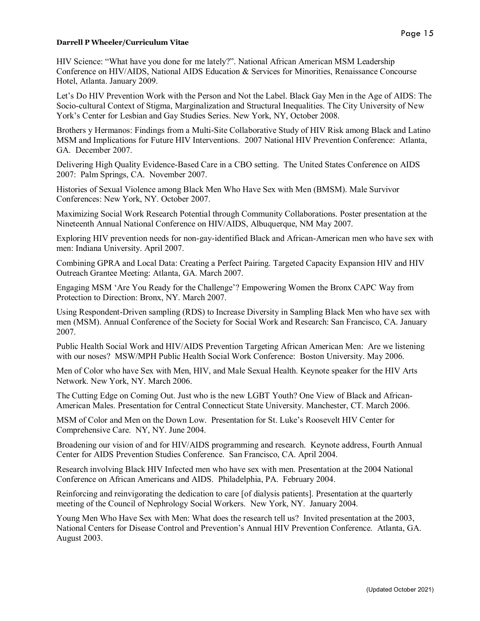HIV Science: "What have you done for me lately?". National African American MSM Leadership Conference on HIV/AIDS, National AIDS Education & Services for Minorities, Renaissance Concourse Hotel, Atlanta. January 2009.

Let's Do HIV Prevention Work with the Person and Not the Label. Black Gay Men in the Age of AIDS: The Socio-cultural Context of Stigma, Marginalization and Structural Inequalities. The City University of New York's Center for Lesbian and Gay Studies Series. New York, NY, October 2008.

Brothers y Hermanos: Findings from a Multi-Site Collaborative Study of HIV Risk among Black and Latino MSM and Implications for Future HIV Interventions. 2007 National HIV Prevention Conference: Atlanta, GA. December 2007.

Delivering High Quality Evidence-Based Care in a CBO setting. The United States Conference on AIDS 2007: Palm Springs, CA. November 2007.

Histories of Sexual Violence among Black Men Who Have Sex with Men (BMSM). Male Survivor Conferences: New York, NY. October 2007.

Maximizing Social Work Research Potential through Community Collaborations. Poster presentation at the Nineteenth Annual National Conference on HIV/AIDS, Albuquerque, NM May 2007.

Exploring HIV prevention needs for non-gay-identified Black and African-American men who have sex with men: Indiana University. April 2007.

Combining GPRA and Local Data: Creating a Perfect Pairing. Targeted Capacity Expansion HIV and HIV Outreach Grantee Meeting: Atlanta, GA. March 2007.

Engaging MSM 'Are You Ready for the Challenge'? Empowering Women the Bronx CAPC Way from Protection to Direction: Bronx, NY. March 2007.

Using Respondent-Driven sampling (RDS) to Increase Diversity in Sampling Black Men who have sex with men (MSM). Annual Conference of the Society for Social Work and Research: San Francisco, CA. January 2007.

Public Health Social Work and HIV/AIDS Prevention Targeting African American Men: Are we listening with our noses? MSW/MPH Public Health Social Work Conference: Boston University. May 2006.

Men of Color who have Sex with Men, HIV, and Male Sexual Health. Keynote speaker for the HIV Arts Network. New York, NY. March 2006.

The Cutting Edge on Coming Out. Just who is the new LGBT Youth? One View of Black and African-American Males. Presentation for Central Connecticut State University. Manchester, CT. March 2006.

MSM of Color and Men on the Down Low. Presentation for St. Luke's Roosevelt HIV Center for Comprehensive Care. NY, NY. June 2004.

Broadening our vision of and for HIV/AIDS programming and research. Keynote address, Fourth Annual Center for AIDS Prevention Studies Conference. San Francisco, CA. April 2004.

Research involving Black HIV Infected men who have sex with men. Presentation at the 2004 National Conference on African Americans and AIDS. Philadelphia, PA. February 2004.

Reinforcing and reinvigorating the dedication to care [of dialysis patients]. Presentation at the quarterly meeting of the Council of Nephrology Social Workers. New York, NY. January 2004.

Young Men Who Have Sex with Men: What does the research tell us? Invited presentation at the 2003, National Centers for Disease Control and Prevention's Annual HIV Prevention Conference. Atlanta, GA. August 2003.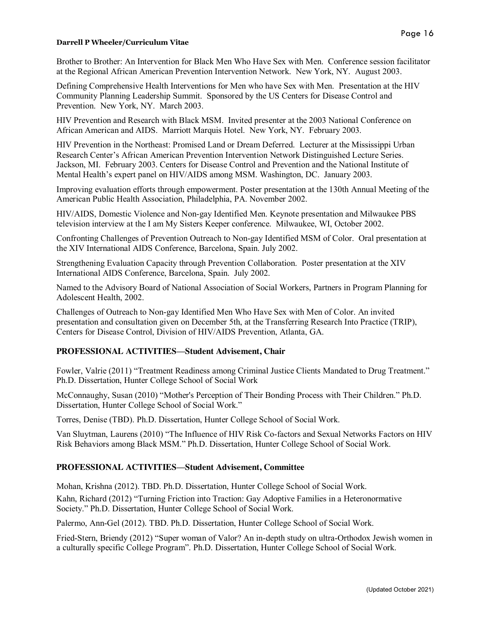Brother to Brother: An Intervention for Black Men Who Have Sex with Men. Conference session facilitator at the Regional African American Prevention Intervention Network. New York, NY. August 2003.

Defining Comprehensive Health Interventions for Men who have Sex with Men. Presentation at the HIV Community Planning Leadership Summit. Sponsored by the US Centers for Disease Control and Prevention. New York, NY. March 2003.

HIV Prevention and Research with Black MSM. Invited presenter at the 2003 National Conference on African American and AIDS. Marriott Marquis Hotel. New York, NY. February 2003.

HIV Prevention in the Northeast: Promised Land or Dream Deferred. Lecturer at the Mississippi Urban Research Center's African American Prevention Intervention Network Distinguished Lecture Series. Jackson, MI. February 2003. Centers for Disease Control and Prevention and the National Institute of Mental Health's expert panel on HIV/AIDS among MSM. Washington, DC. January 2003.

Improving evaluation efforts through empowerment. Poster presentation at the 130th Annual Meeting of the American Public Health Association, Philadelphia, PA. November 2002.

HIV/AIDS, Domestic Violence and Non-gay Identified Men. Keynote presentation and Milwaukee PBS television interview at the I am My Sisters Keeper conference. Milwaukee, WI, October 2002.

Confronting Challenges of Prevention Outreach to Non-gay Identified MSM of Color. Oral presentation at the XIV International AIDS Conference, Barcelona, Spain. July 2002.

Strengthening Evaluation Capacity through Prevention Collaboration. Poster presentation at the XIV International AIDS Conference, Barcelona, Spain. July 2002.

Named to the Advisory Board of National Association of Social Workers, Partners in Program Planning for Adolescent Health, 2002.

Challenges of Outreach to Non-gay Identified Men Who Have Sex with Men of Color. An invited presentation and consultation given on December 5th, at the Transferring Research Into Practice (TRIP), Centers for Disease Control, Division of HIV/AIDS Prevention, Atlanta, GA.

### **PROFESSIONAL ACTIVITIES—Student Advisement, Chair**

Fowler, Valrie (2011) "Treatment Readiness among Criminal Justice Clients Mandated to Drug Treatment." Ph.D. Dissertation, Hunter College School of Social Work

McConnaughy, Susan (2010) "Mother's Perception of Their Bonding Process with Their Children." Ph.D. Dissertation, Hunter College School of Social Work."

Torres, Denise (TBD). Ph.D. Dissertation, Hunter College School of Social Work.

Van Sluytman, Laurens (2010) "The Influence of HIV Risk Co-factors and Sexual Networks Factors on HIV Risk Behaviors among Black MSM." Ph.D. Dissertation, Hunter College School of Social Work.

### **PROFESSIONAL ACTIVITIES—Student Advisement, Committee**

Mohan, Krishna (2012). TBD. Ph.D. Dissertation, Hunter College School of Social Work. Kahn, Richard (2012) "Turning Friction into Traction: Gay Adoptive Families in a Heteronormative Society." Ph.D. Dissertation, Hunter College School of Social Work.

Palermo, Ann-Gel (2012). TBD. Ph.D. Dissertation, Hunter College School of Social Work.

Fried-Stern, Briendy (2012) "Super woman of Valor? An in-depth study on ultra-Orthodox Jewish women in a culturally specific College Program". Ph.D. Dissertation, Hunter College School of Social Work.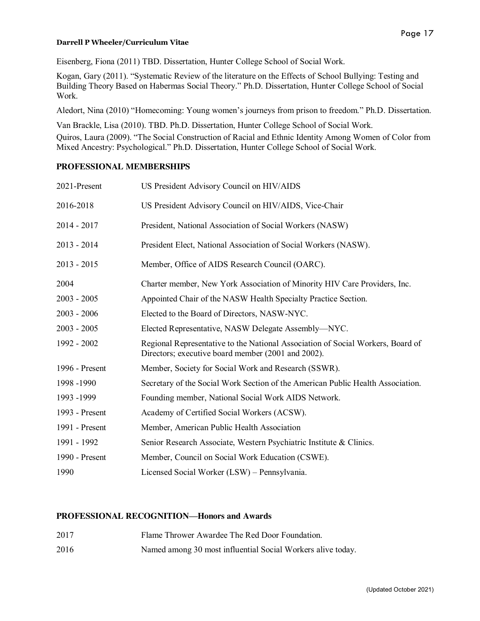Eisenberg, Fiona (2011) TBD. Dissertation, Hunter College School of Social Work.

Kogan, Gary (2011). "Systematic Review of the literature on the Effects of School Bullying: Testing and Building Theory Based on Habermas Social Theory." Ph.D. Dissertation, Hunter College School of Social Work.

Aledort, Nina (2010) "Homecoming: Young women's journeys from prison to freedom." Ph.D. Dissertation.

Van Brackle, Lisa (2010). TBD. Ph.D. Dissertation, Hunter College School of Social Work. Quiros, Laura (2009). "The Social Construction of Racial and Ethnic Identity Among Women of Color from Mixed Ancestry: Psychological." Ph.D. Dissertation, Hunter College School of Social Work.

### **PROFESSIONAL MEMBERSHIPS**

| 2021-Present   | US President Advisory Council on HIV/AIDS                                                                                             |
|----------------|---------------------------------------------------------------------------------------------------------------------------------------|
| 2016-2018      | US President Advisory Council on HIV/AIDS, Vice-Chair                                                                                 |
| $2014 - 2017$  | President, National Association of Social Workers (NASW)                                                                              |
| $2013 - 2014$  | President Elect, National Association of Social Workers (NASW).                                                                       |
| $2013 - 2015$  | Member, Office of AIDS Research Council (OARC).                                                                                       |
| 2004           | Charter member, New York Association of Minority HIV Care Providers, Inc.                                                             |
| $2003 - 2005$  | Appointed Chair of the NASW Health Specialty Practice Section.                                                                        |
| $2003 - 2006$  | Elected to the Board of Directors, NASW-NYC.                                                                                          |
| $2003 - 2005$  | Elected Representative, NASW Delegate Assembly—NYC.                                                                                   |
| 1992 - 2002    | Regional Representative to the National Association of Social Workers, Board of<br>Directors; executive board member (2001 and 2002). |
| 1996 - Present | Member, Society for Social Work and Research (SSWR).                                                                                  |
| 1998 -1990     | Secretary of the Social Work Section of the American Public Health Association.                                                       |
| 1993 -1999     | Founding member, National Social Work AIDS Network.                                                                                   |
| 1993 - Present | Academy of Certified Social Workers (ACSW).                                                                                           |
| 1991 - Present | Member, American Public Health Association                                                                                            |
| 1991 - 1992    | Senior Research Associate, Western Psychiatric Institute & Clinics.                                                                   |
| 1990 - Present | Member, Council on Social Work Education (CSWE).                                                                                      |
| 1990           | Licensed Social Worker (LSW) - Pennsylvania.                                                                                          |

### **PROFESSIONAL RECOGNITION—Honors and Awards**

| 2017 | Flame Thrower Awardee The Red Door Foundation. |
|------|------------------------------------------------|
|      |                                                |

2016 Named among 30 most influential Social Workers alive today.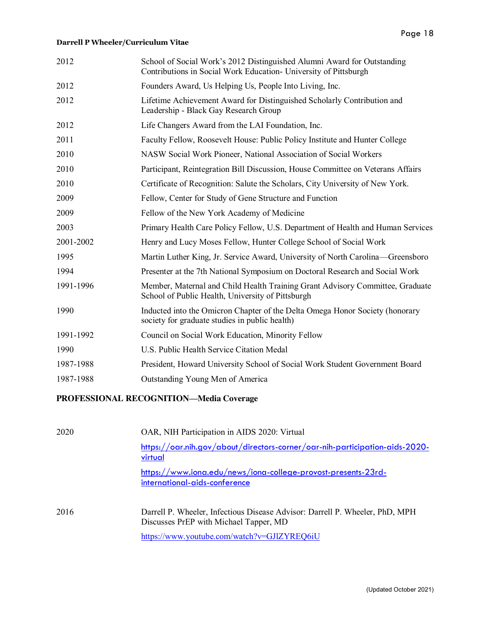| 2012      | School of Social Work's 2012 Distinguished Alumni Award for Outstanding<br>Contributions in Social Work Education- University of Pittsburgh |
|-----------|---------------------------------------------------------------------------------------------------------------------------------------------|
| 2012      | Founders Award, Us Helping Us, People Into Living, Inc.                                                                                     |
| 2012      | Lifetime Achievement Award for Distinguished Scholarly Contribution and<br>Leadership - Black Gay Research Group                            |
| 2012      | Life Changers Award from the LAI Foundation, Inc.                                                                                           |
| 2011      | Faculty Fellow, Roosevelt House: Public Policy Institute and Hunter College                                                                 |
| 2010      | NASW Social Work Pioneer, National Association of Social Workers                                                                            |
| 2010      | Participant, Reintegration Bill Discussion, House Committee on Veterans Affairs                                                             |
| 2010      | Certificate of Recognition: Salute the Scholars, City University of New York.                                                               |
| 2009      | Fellow, Center for Study of Gene Structure and Function                                                                                     |
| 2009      | Fellow of the New York Academy of Medicine                                                                                                  |
| 2003      | Primary Health Care Policy Fellow, U.S. Department of Health and Human Services                                                             |
| 2001-2002 | Henry and Lucy Moses Fellow, Hunter College School of Social Work                                                                           |
| 1995      | Martin Luther King, Jr. Service Award, University of North Carolina—Greensboro                                                              |
| 1994      | Presenter at the 7th National Symposium on Doctoral Research and Social Work                                                                |
| 1991-1996 | Member, Maternal and Child Health Training Grant Advisory Committee, Graduate<br>School of Public Health, University of Pittsburgh          |
| 1990      | Inducted into the Omicron Chapter of the Delta Omega Honor Society (honorary<br>society for graduate studies in public health)              |
| 1991-1992 | Council on Social Work Education, Minority Fellow                                                                                           |
| 1990      | U.S. Public Health Service Citation Medal                                                                                                   |
| 1987-1988 | President, Howard University School of Social Work Student Government Board                                                                 |
| 1987-1988 | Outstanding Young Men of America                                                                                                            |
|           |                                                                                                                                             |

# **PROFESSIONAL RECOGNITION—Media Coverage**

| 2020 | OAR, NIH Participation in AIDS 2020: Virtual                                                                           |
|------|------------------------------------------------------------------------------------------------------------------------|
|      | https://oar.nih.gov/about/directors-corner/oar-nih-participation-aids-2020-<br>virtual                                 |
|      | https://www.iona.edu/news/iona-college-provost-presents-23rd-<br>international-aids-conference                         |
| 2016 | Darrell P. Wheeler, Infectious Disease Advisor: Darrell P. Wheeler, PhD, MPH<br>Discusses PrEP with Michael Tapper, MD |
|      | https://www.youtube.com/watch?v=GJlZYREQ6iU                                                                            |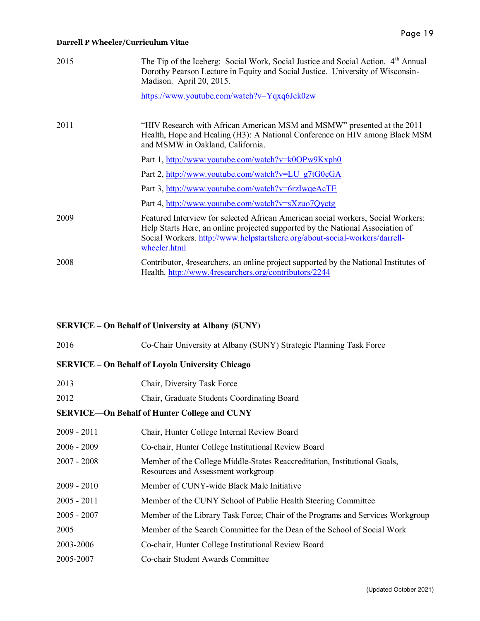| 2015 | The Tip of the Iceberg: Social Work, Social Justice and Social Action. 4 <sup>th</sup> Annual<br>Dorothy Pearson Lecture in Equity and Social Justice. University of Wisconsin-<br>Madison. April 20, 2015.                                                       |
|------|-------------------------------------------------------------------------------------------------------------------------------------------------------------------------------------------------------------------------------------------------------------------|
|      | https://www.youtube.com/watch?v=Yqxq6Jck0zw                                                                                                                                                                                                                       |
| 2011 | "HIV Research with African American MSM and MSMW" presented at the 2011<br>Health, Hope and Healing (H3): A National Conference on HIV among Black MSM<br>and MSMW in Oakland, California.                                                                        |
|      | Part 1, http://www.youtube.com/watch?v=k0OPw9Kxph0                                                                                                                                                                                                                |
|      | Part 2, http://www.youtube.com/watch?v=LU g7tG0eGA                                                                                                                                                                                                                |
|      | Part 3, http://www.youtube.com/watch?v=6rzIwqeAcTE                                                                                                                                                                                                                |
|      | Part 4, http://www.youtube.com/watch?v=sXzuo7Qyctg                                                                                                                                                                                                                |
| 2009 | Featured Interview for selected African American social workers, Social Workers:<br>Help Starts Here, an online projected supported by the National Association of<br>Social Workers. http://www.helpstartshere.org/about-social-workers/darrell-<br>wheeler.html |
| 2008 | Contributor, 4 researchers, an online project supported by the National Institutes of<br>Health. http://www.4researchers.org/contributors/2244                                                                                                                    |

# **SERVICE – On Behalf of University at Albany (SUNY)**

| 2016                                                    | Co-Chair University at Albany (SUNY) Strategic Planning Task Force                                              |  |  |
|---------------------------------------------------------|-----------------------------------------------------------------------------------------------------------------|--|--|
| <b>SERVICE - On Behalf of Loyola University Chicago</b> |                                                                                                                 |  |  |
| 2013                                                    | Chair, Diversity Task Force                                                                                     |  |  |
| 2012                                                    | Chair, Graduate Students Coordinating Board                                                                     |  |  |
| <b>SERVICE-On Behalf of Hunter College and CUNY</b>     |                                                                                                                 |  |  |
| $2009 - 2011$                                           | Chair, Hunter College Internal Review Board                                                                     |  |  |
| $2006 - 2009$                                           | Co-chair, Hunter College Institutional Review Board                                                             |  |  |
| $2007 - 2008$                                           | Member of the College Middle-States Reaccreditation, Institutional Goals,<br>Resources and Assessment workgroup |  |  |
| $2009 - 2010$                                           | Member of CUNY-wide Black Male Initiative                                                                       |  |  |
| $2005 - 2011$                                           | Member of the CUNY School of Public Health Steering Committee                                                   |  |  |
| $2005 - 2007$                                           | Member of the Library Task Force; Chair of the Programs and Services Workgroup                                  |  |  |
| 2005                                                    | Member of the Search Committee for the Dean of the School of Social Work                                        |  |  |
| 2003-2006                                               | Co-chair, Hunter College Institutional Review Board                                                             |  |  |
| 2005-2007                                               | Co-chair Student Awards Committee                                                                               |  |  |